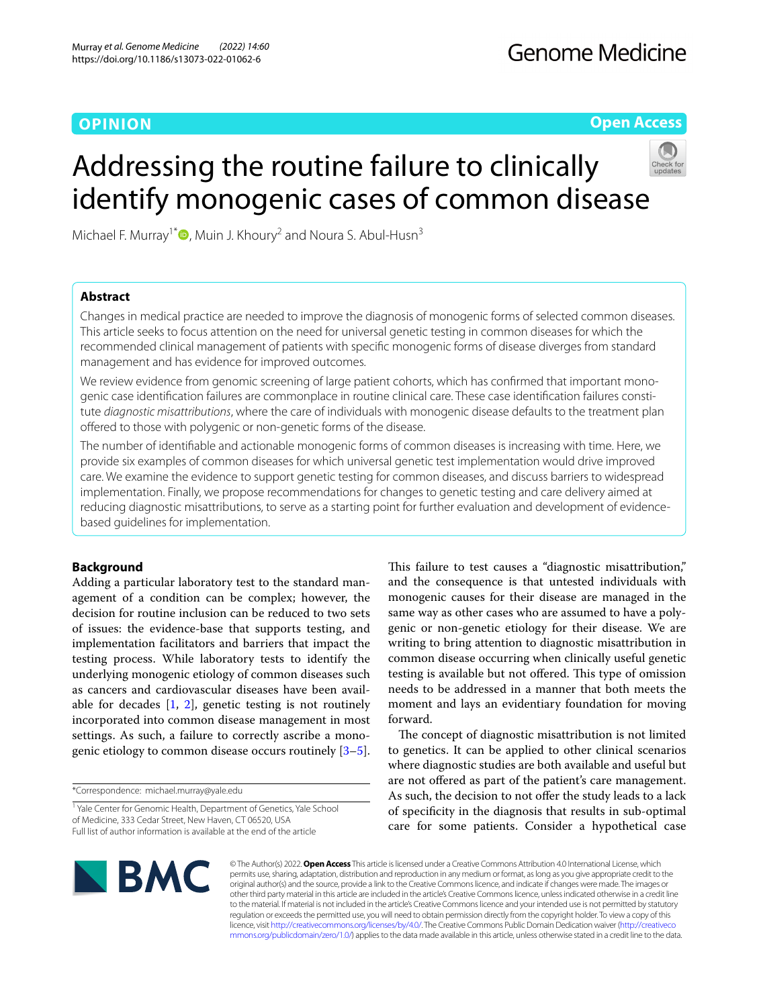## **OPINION**

**Open Access**

# Addressing the routine failure to clinically identify monogenic cases of common disease

Michael F. Murray<sup>1[\\*](http://orcid.org/0000-0003-2872-9816)</sup>  $\bullet$ , Muin J. Khoury<sup>2</sup> and Noura S. Abul-Husn<sup>3</sup>

## **Abstract**

Changes in medical practice are needed to improve the diagnosis of monogenic forms of selected common diseases. This article seeks to focus attention on the need for universal genetic testing in common diseases for which the recommended clinical management of patients with specifc monogenic forms of disease diverges from standard management and has evidence for improved outcomes.

We review evidence from genomic screening of large patient cohorts, which has confirmed that important monogenic case identification failures are commonplace in routine clinical care. These case identification failures constitute *diagnostic misattributions*, where the care of individuals with monogenic disease defaults to the treatment plan ofered to those with polygenic or non-genetic forms of the disease.

The number of identifable and actionable monogenic forms of common diseases is increasing with time. Here, we provide six examples of common diseases for which universal genetic test implementation would drive improved care. We examine the evidence to support genetic testing for common diseases, and discuss barriers to widespread implementation. Finally, we propose recommendations for changes to genetic testing and care delivery aimed at reducing diagnostic misattributions, to serve as a starting point for further evaluation and development of evidencebased guidelines for implementation.

## **Background**

Adding a particular laboratory test to the standard management of a condition can be complex; however, the decision for routine inclusion can be reduced to two sets of issues: the evidence-base that supports testing, and implementation facilitators and barriers that impact the testing process. While laboratory tests to identify the underlying monogenic etiology of common diseases such as cancers and cardiovascular diseases have been available for decades  $[1, 2]$  $[1, 2]$  $[1, 2]$ , genetic testing is not routinely incorporated into common disease management in most settings. As such, a failure to correctly ascribe a monogenic etiology to common disease occurs routinely [\[3](#page-7-2)[–5](#page-7-3)].

\*Correspondence: michael.murray@yale.edu

<sup>1</sup> Yale Center for Genomic Health, Department of Genetics, Yale School of Medicine, 333 Cedar Street, New Haven, CT 06520, USA Full list of author information is available at the end of the article

This failure to test causes a "diagnostic misattribution," and the consequence is that untested individuals with monogenic causes for their disease are managed in the same way as other cases who are assumed to have a polygenic or non-genetic etiology for their disease. We are writing to bring attention to diagnostic misattribution in common disease occurring when clinically useful genetic testing is available but not offered. This type of omission needs to be addressed in a manner that both meets the moment and lays an evidentiary foundation for moving forward.

The concept of diagnostic misattribution is not limited to genetics. It can be applied to other clinical scenarios where diagnostic studies are both available and useful but are not ofered as part of the patient's care management. As such, the decision to not offer the study leads to a lack of specifcity in the diagnosis that results in sub-optimal care for some patients. Consider a hypothetical case



© The Author(s) 2022. **Open Access** This article is licensed under a Creative Commons Attribution 4.0 International License, which permits use, sharing, adaptation, distribution and reproduction in any medium or format, as long as you give appropriate credit to the original author(s) and the source, provide a link to the Creative Commons licence, and indicate if changes were made. The images or other third party material in this article are included in the article's Creative Commons licence, unless indicated otherwise in a credit line to the material. If material is not included in the article's Creative Commons licence and your intended use is not permitted by statutory regulation or exceeds the permitted use, you will need to obtain permission directly from the copyright holder. To view a copy of this licence, visit [http://creativecommons.org/licenses/by/4.0/.](http://creativecommons.org/licenses/by/4.0/) The Creative Commons Public Domain Dedication waiver ([http://creativeco](http://creativecommons.org/publicdomain/zero/1.0/) [mmons.org/publicdomain/zero/1.0/](http://creativecommons.org/publicdomain/zero/1.0/)) applies to the data made available in this article, unless otherwise stated in a credit line to the data.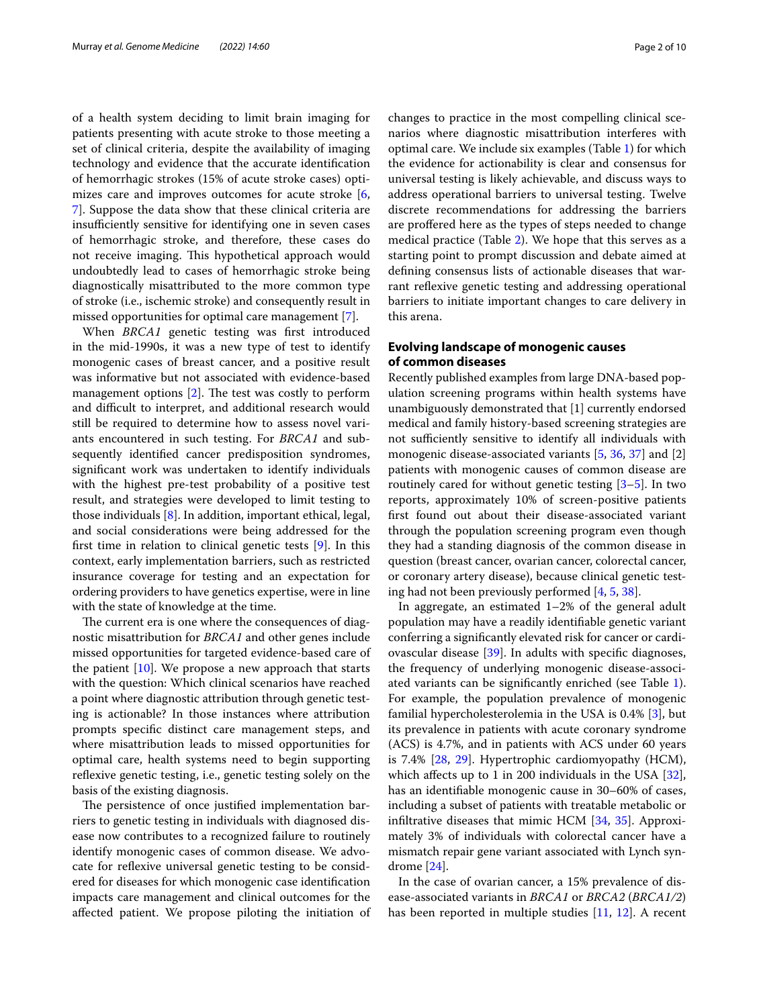of a health system deciding to limit brain imaging for patients presenting with acute stroke to those meeting a set of clinical criteria, despite the availability of imaging technology and evidence that the accurate identifcation of hemorrhagic strokes (15% of acute stroke cases) optimizes care and improves outcomes for acute stroke [\[6](#page-7-4), [7\]](#page-7-5). Suppose the data show that these clinical criteria are insufficiently sensitive for identifying one in seven cases of hemorrhagic stroke, and therefore, these cases do not receive imaging. This hypothetical approach would undoubtedly lead to cases of hemorrhagic stroke being diagnostically misattributed to the more common type of stroke (i.e., ischemic stroke) and consequently result in missed opportunities for optimal care management [\[7](#page-7-5)].

When *BRCA1* genetic testing was frst introduced in the mid-1990s, it was a new type of test to identify monogenic cases of breast cancer, and a positive result was informative but not associated with evidence-based management options  $[2]$  $[2]$ . The test was costly to perform and difficult to interpret, and additional research would still be required to determine how to assess novel variants encountered in such testing. For *BRCA1* and subsequently identifed cancer predisposition syndromes, signifcant work was undertaken to identify individuals with the highest pre-test probability of a positive test result, and strategies were developed to limit testing to those individuals [\[8](#page-7-6)]. In addition, important ethical, legal, and social considerations were being addressed for the frst time in relation to clinical genetic tests [\[9](#page-7-7)]. In this context, early implementation barriers, such as restricted insurance coverage for testing and an expectation for ordering providers to have genetics expertise, were in line with the state of knowledge at the time.

The current era is one where the consequences of diagnostic misattribution for *BRCA1* and other genes include missed opportunities for targeted evidence-based care of the patient  $[10]$  $[10]$ . We propose a new approach that starts with the question: Which clinical scenarios have reached a point where diagnostic attribution through genetic testing is actionable? In those instances where attribution prompts specifc distinct care management steps, and where misattribution leads to missed opportunities for optimal care, health systems need to begin supporting reflexive genetic testing, i.e., genetic testing solely on the basis of the existing diagnosis.

The persistence of once justified implementation barriers to genetic testing in individuals with diagnosed disease now contributes to a recognized failure to routinely identify monogenic cases of common disease. We advocate for reflexive universal genetic testing to be considered for diseases for which monogenic case identifcation impacts care management and clinical outcomes for the afected patient. We propose piloting the initiation of changes to practice in the most compelling clinical scenarios where diagnostic misattribution interferes with optimal care. We include six examples (Table [1](#page-2-0)) for which the evidence for actionability is clear and consensus for universal testing is likely achievable, and discuss ways to address operational barriers to universal testing. Twelve discrete recommendations for addressing the barriers are proffered here as the types of steps needed to change medical practice (Table [2\)](#page-3-0). We hope that this serves as a starting point to prompt discussion and debate aimed at defning consensus lists of actionable diseases that warrant refexive genetic testing and addressing operational barriers to initiate important changes to care delivery in this arena.

## **Evolving landscape of monogenic causes of common diseases**

Recently published examples from large DNA-based population screening programs within health systems have unambiguously demonstrated that [1] currently endorsed medical and family history-based screening strategies are not sufficiently sensitive to identify all individuals with monogenic disease-associated variants [\[5](#page-7-3), [36,](#page-8-0) [37\]](#page-8-1) and [2] patients with monogenic causes of common disease are routinely cared for without genetic testing [\[3–](#page-7-2)[5\]](#page-7-3). In two reports, approximately 10% of screen-positive patients frst found out about their disease-associated variant through the population screening program even though they had a standing diagnosis of the common disease in question (breast cancer, ovarian cancer, colorectal cancer, or coronary artery disease), because clinical genetic testing had not been previously performed [\[4](#page-7-9), [5,](#page-7-3) [38\]](#page-8-2).

In aggregate, an estimated 1–2% of the general adult population may have a readily identifable genetic variant conferring a signifcantly elevated risk for cancer or cardiovascular disease [\[39](#page-8-3)]. In adults with specifc diagnoses, the frequency of underlying monogenic disease-associated variants can be signifcantly enriched (see Table [1](#page-2-0)). For example, the population prevalence of monogenic familial hypercholesterolemia in the USA is 0.4% [[3\]](#page-7-2), but its prevalence in patients with acute coronary syndrome (ACS) is 4.7%, and in patients with ACS under 60 years is 7.4% [\[28](#page-7-10), [29](#page-7-11)]. Hypertrophic cardiomyopathy (HCM), which affects up to 1 in 200 individuals in the USA [\[32](#page-7-12)], has an identifable monogenic cause in 30–60% of cases, including a subset of patients with treatable metabolic or infltrative diseases that mimic HCM [\[34,](#page-7-13) [35\]](#page-8-4). Approximately 3% of individuals with colorectal cancer have a mismatch repair gene variant associated with Lynch syndrome [\[24\]](#page-7-14).

In the case of ovarian cancer, a 15% prevalence of disease-associated variants in *BRCA1* or *BRCA2* (*BRCA1/2*) has been reported in multiple studies [\[11](#page-7-15), [12\]](#page-7-16). A recent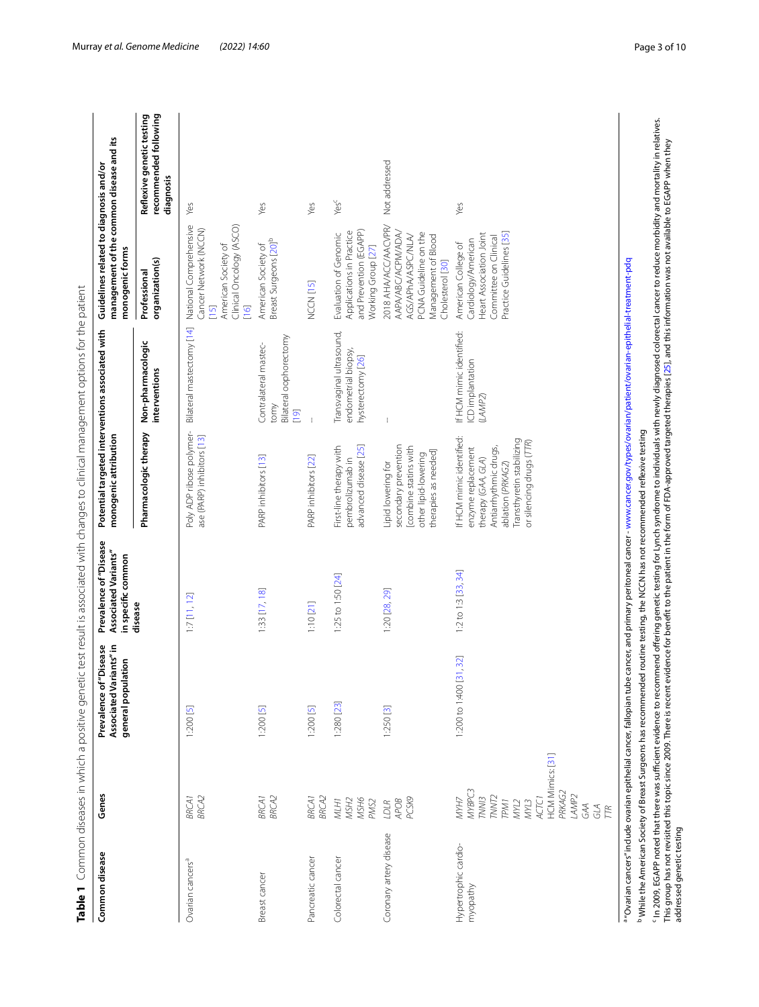<span id="page-2-0"></span>

|                          | Ï                                                                                                                  |
|--------------------------|--------------------------------------------------------------------------------------------------------------------|
|                          |                                                                                                                    |
|                          | ă                                                                                                                  |
|                          |                                                                                                                    |
|                          |                                                                                                                    |
|                          |                                                                                                                    |
|                          |                                                                                                                    |
|                          |                                                                                                                    |
|                          |                                                                                                                    |
|                          |                                                                                                                    |
|                          |                                                                                                                    |
|                          | $\ddot{\phantom{0}}$                                                                                               |
|                          | i                                                                                                                  |
|                          | ļ                                                                                                                  |
|                          | Ï                                                                                                                  |
|                          |                                                                                                                    |
|                          |                                                                                                                    |
|                          | ï<br>ׇ֦֧֕                                                                                                          |
|                          |                                                                                                                    |
|                          | j                                                                                                                  |
|                          | ֖֖֖ׅׅ֚֚֚֚֚֚֚֚֚֚֚֚֚֚֡֕֡֡֡֡֬֝֬֓֡֬֝֬֞֓֞֡֡֬֓֞֓֡֬֓֓֬֓֞֬֓֞֓֞֬֝֓֞֬֝֞֞֬֝֓֞֬֝֬֝֓֞֬֝֬֝֓֞֬֝֝֬                                 |
|                          | ֡֡֡֡֡֡֡<br>Ó                                                                                                       |
|                          |                                                                                                                    |
|                          | i<br>ï                                                                                                             |
|                          |                                                                                                                    |
|                          | i                                                                                                                  |
|                          |                                                                                                                    |
|                          | Ï<br>ï                                                                                                             |
|                          |                                                                                                                    |
|                          | l                                                                                                                  |
|                          |                                                                                                                    |
|                          |                                                                                                                    |
|                          |                                                                                                                    |
|                          |                                                                                                                    |
|                          | $\frac{1}{2}$<br>ă<br>j                                                                                            |
|                          | i                                                                                                                  |
|                          | í                                                                                                                  |
|                          |                                                                                                                    |
|                          | $\bar{\sigma}$                                                                                                     |
|                          | $\overline{\phantom{a}}$                                                                                           |
|                          |                                                                                                                    |
|                          |                                                                                                                    |
|                          |                                                                                                                    |
|                          | ξ                                                                                                                  |
|                          |                                                                                                                    |
|                          | ĭ<br>Ó                                                                                                             |
|                          | J                                                                                                                  |
|                          | ś                                                                                                                  |
|                          | ī                                                                                                                  |
|                          | i                                                                                                                  |
|                          |                                                                                                                    |
|                          | i<br>֦֦֦֦֧֧֧֦֧ׅ֧֧֦֧ׅ֧֧ׅ֧֧֧֧֧֧֧֧֧֧֛֧֧֛֧֛֛֛֛֛֛֛֛֪֧֛֛֚֚֚֚֚֚֚֚֚֚֚֚֚֚֚֚֚֚֚֚֚֚֚֚֚֝֝֝֝֝֝֝֝֝֝֝֓֜֝֓֜֝֓֜֝֓֜֜֜֜֜֜֝֬֜֜֜֜֜֜֝֝֝֜ |
|                          | Ó                                                                                                                  |
|                          | I                                                                                                                  |
|                          |                                                                                                                    |
|                          |                                                                                                                    |
|                          |                                                                                                                    |
|                          |                                                                                                                    |
|                          | ١                                                                                                                  |
|                          | l                                                                                                                  |
|                          |                                                                                                                    |
|                          |                                                                                                                    |
|                          | j                                                                                                                  |
|                          | ر)<br>+<br>+                                                                                                       |
|                          |                                                                                                                    |
| ֚֚֚֬                     | j                                                                                                                  |
|                          | $\zeta^+$                                                                                                          |
|                          | Ï                                                                                                                  |
|                          | ۔<br>آ<br>j                                                                                                        |
|                          |                                                                                                                    |
|                          | ļ                                                                                                                  |
|                          |                                                                                                                    |
|                          |                                                                                                                    |
|                          | í<br>١                                                                                                             |
|                          | ļ                                                                                                                  |
|                          |                                                                                                                    |
|                          |                                                                                                                    |
|                          |                                                                                                                    |
|                          | j                                                                                                                  |
|                          | ≝                                                                                                                  |
|                          |                                                                                                                    |
|                          |                                                                                                                    |
|                          |                                                                                                                    |
|                          |                                                                                                                    |
|                          | i                                                                                                                  |
|                          |                                                                                                                    |
|                          | i                                                                                                                  |
|                          | Ó<br>í                                                                                                             |
|                          |                                                                                                                    |
|                          | i                                                                                                                  |
|                          | d                                                                                                                  |
|                          | Ī                                                                                                                  |
|                          |                                                                                                                    |
|                          | į                                                                                                                  |
|                          | Ş                                                                                                                  |
|                          | d                                                                                                                  |
| $\overline{\phantom{a}}$ | )<br>j                                                                                                             |
|                          |                                                                                                                    |
|                          |                                                                                                                    |
| I                        |                                                                                                                    |
|                          |                                                                                                                    |
|                          |                                                                                                                    |
| I                        | able 1                                                                                                             |

| Common disease                   | Genes                                                                                                                                                       | Associated Variants" in<br>Prevalence of"Disease<br>general population | Prevalence of "Disease<br><b>Associated Variants"</b><br>in specific common | Potential targeted interventions associated with<br>monogenic attribution                                                                                                   |                                                                      | management of the common disease and its<br>Guidelines related to diagnosis and/or<br>monogenic forms                                |                                                                 |
|----------------------------------|-------------------------------------------------------------------------------------------------------------------------------------------------------------|------------------------------------------------------------------------|-----------------------------------------------------------------------------|-----------------------------------------------------------------------------------------------------------------------------------------------------------------------------|----------------------------------------------------------------------|--------------------------------------------------------------------------------------------------------------------------------------|-----------------------------------------------------------------|
|                                  |                                                                                                                                                             |                                                                        | disease                                                                     | Pharmacologic therapy                                                                                                                                                       | Non-pharmacologic<br>interventions                                   | organization(s)<br>Professional                                                                                                      | Reflexive genetic testing<br>recommended following<br>diagnosis |
| Ovarian cancers <sup>a</sup>     | <b>BRCA2</b><br><b>BRCA1</b>                                                                                                                                | $1:200$ [5]                                                            | $1:7$ [11, 12]                                                              | Poly ADP ribose polymer-<br>ase (PARP) inhibitors [13]                                                                                                                      | Bilateral mastectomy [14]                                            | National Comprehensive<br>Clinical Oncology (ASCO)<br>Cancer Network (NCCN)<br>American Society of<br>$[15]$<br>$[16]$               | Yes                                                             |
| Breast cancer                    | BRCAT<br>BRCA2                                                                                                                                              | 1:200[5]                                                               | $1:33$ $[17, 18]$                                                           | PARP inhibitors [13]                                                                                                                                                        | Bilateral oophorectomy<br>Contralateral mastec-<br>tomy<br>[19]      | Breast Surgeons [20] <sup>b</sup><br>American Society of                                                                             | Yes                                                             |
| Pancreatic cancer                | <b>BRCA2</b><br><b>BRCA1</b>                                                                                                                                | 1:200[5]                                                               | 1:10 [21]                                                                   | PARP inhibitors [22]                                                                                                                                                        | J.                                                                   | NCCN <sub>[15]</sub>                                                                                                                 | Yes                                                             |
| Colorectal cancer                | MLH1<br>MSH2<br>MSH6<br>PMS2                                                                                                                                | 1:280 [23]                                                             | 1:25 to 1:50 [24]                                                           | advanced disease [25]<br>First-line therapy with<br>pembrolizumab in                                                                                                        | Transvaginal ultrasound,<br>endometrial biopsy,<br>hysterectomy [26] | and Prevention (EGAPP)<br>Applications in Practice<br>Evaluation of Genomic<br>Working Group [27]                                    | Yes <sup>c</sup>                                                |
| Coronary artery disease          | PCSK9<br>APOB<br>LDLR                                                                                                                                       | 1:250 [3]                                                              | 1:20 [28, 29]                                                               | secondary prevention<br>combine statins with<br>therapies as needed]<br>other lipid-lowering<br>Lipid lowering for                                                          |                                                                      | 2018 AHA/ACC/AACVPR/<br>AAPA/ABC/ACPM/ADA/<br>PCNA Guideline on the<br>AGS/APhA/ASPC/NLA/<br>Management of Blood<br>Cholesterol [30] | Not addressed                                                   |
| Hypertrophic cardio-<br>myopathy | HCM Mimics: [31]<br>MYBPC3<br>PRKAG2<br>LAMP <sub>2</sub><br>TNN/3<br>TNNT <sub>2</sub><br>NYH7<br>ACTC1<br>TPM1<br>MML2<br>MNL3<br>GAA<br>GLA<br><b>TR</b> | .32]<br>1:200 to 1:400 [3]                                             | 1:2 to 1:3 [33, 34]                                                         | If HCM mimic identified:<br>Transthyretin stabilizing<br>or silencing drugs (TTR)<br>Antiarrhythmic drugs,<br>enzyme replacement<br>therapy (GAA, GLA)<br>ablation (PRKAG2) | If HCM mimic identified:<br>ICD implantation<br>(LAMP2)              | Heart Association Joint<br>Practice Guidelines [35]<br>Committee on Clinical<br>Cardiology/American<br>American College of           | Yes                                                             |

<sup>b</sup> While the American Society of Breast Surgeons has recommended routine testing, the NCCN has not recommended reflexive testing b While the American Society of Breast Surgeons has recommended routine testing, the NCCN has not recommended refexive testing

' In 2009, EGAPP noted that there was sufficient evidence to recommend offering genetic testing for Lynch syndrome to individuals with newly diagnosed colorectal cancer to reduce morbidity and mortality in relatives.<br>Thi c In 2009, EGAPP noted that there was sufcient evidence to recommend ofering genetic testing for Lynch syndrome to individuals with newly diagnosed colorectal cancer to reduce morbidity and mortality in relatives. This group has not revisited this topic since 2009. There is recent evidence for beneft to the patient in the form of FDA-approved targeted therapies [\[25](#page-7-17)], and this information was not available to EGAPP when they addressed genetic testing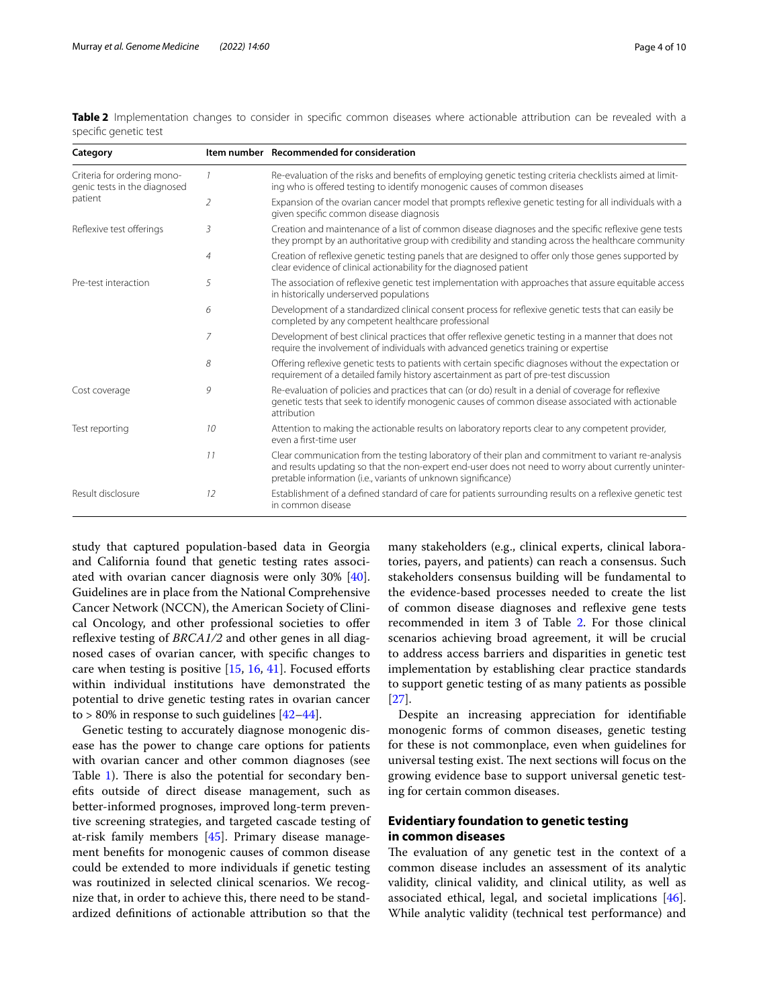| Category                                                               |                | Item number Recommended for consideration                                                                                                                                                                                                                                    |
|------------------------------------------------------------------------|----------------|------------------------------------------------------------------------------------------------------------------------------------------------------------------------------------------------------------------------------------------------------------------------------|
| Criteria for ordering mono-<br>genic tests in the diagnosed<br>patient |                | Re-evaluation of the risks and benefits of employing genetic testing criteria checklists aimed at limit-<br>ing who is offered testing to identify monogenic causes of common diseases                                                                                       |
|                                                                        | 2              | Expansion of the ovarian cancer model that prompts reflexive genetic testing for all individuals with a<br>given specific common disease diagnosis                                                                                                                           |
| Reflexive test offerings                                               | 3              | Creation and maintenance of a list of common disease diagnoses and the specific reflexive gene tests<br>they prompt by an authoritative group with credibility and standing across the healthcare community                                                                  |
|                                                                        | $\overline{4}$ | Creation of reflexive genetic testing panels that are designed to offer only those genes supported by<br>clear evidence of clinical actionability for the diagnosed patient                                                                                                  |
| Pre-test interaction                                                   | 5              | The association of reflexive genetic test implementation with approaches that assure equitable access<br>in historically underserved populations                                                                                                                             |
|                                                                        | 6              | Development of a standardized clinical consent process for reflexive genetic tests that can easily be<br>completed by any competent healthcare professional                                                                                                                  |
|                                                                        | 7              | Development of best clinical practices that offer reflexive genetic testing in a manner that does not<br>require the involvement of individuals with advanced genetics training or expertise                                                                                 |
|                                                                        | 8              | Offering reflexive genetic tests to patients with certain specific diagnoses without the expectation or<br>requirement of a detailed family history ascertainment as part of pre-test discussion                                                                             |
| Cost coverage                                                          | 9              | Re-evaluation of policies and practices that can (or do) result in a denial of coverage for reflexive<br>genetic tests that seek to identify monogenic causes of common disease associated with actionable<br>attribution                                                    |
| Test reporting                                                         | 10             | Attention to making the actionable results on laboratory reports clear to any competent provider,<br>even a first-time user                                                                                                                                                  |
|                                                                        | 11             | Clear communication from the testing laboratory of their plan and commitment to variant re-analysis<br>and results updating so that the non-expert end-user does not need to worry about currently uninter-<br>pretable information (i.e., variants of unknown significance) |
| Result disclosure                                                      | 12             | Establishment of a defined standard of care for patients surrounding results on a reflexive genetic test<br>in common disease                                                                                                                                                |

<span id="page-3-0"></span>**Table 2** Implementation changes to consider in specific common diseases where actionable attribution can be revealed with a specifc genetic test

study that captured population-based data in Georgia and California found that genetic testing rates associated with ovarian cancer diagnosis were only 30% [\[40](#page-8-5)]. Guidelines are in place from the National Comprehensive Cancer Network (NCCN), the American Society of Clinical Oncology, and other professional societies to ofer reflexive testing of *BRCA1/2* and other genes in all diagnosed cases of ovarian cancer, with specifc changes to care when testing is positive  $[15, 16, 41]$  $[15, 16, 41]$  $[15, 16, 41]$  $[15, 16, 41]$  $[15, 16, 41]$  $[15, 16, 41]$  $[15, 16, 41]$ . Focused efforts within individual institutions have demonstrated the potential to drive genetic testing rates in ovarian cancer to > 80% in response to such guidelines  $[42-44]$  $[42-44]$  $[42-44]$ .

Genetic testing to accurately diagnose monogenic disease has the power to change care options for patients with ovarian cancer and other common diagnoses (see Table [1\)](#page-2-0). There is also the potential for secondary benefts outside of direct disease management, such as better-informed prognoses, improved long-term preventive screening strategies, and targeted cascade testing of at-risk family members [\[45](#page-8-9)]. Primary disease management benefts for monogenic causes of common disease could be extended to more individuals if genetic testing was routinized in selected clinical scenarios. We recognize that, in order to achieve this, there need to be standardized defnitions of actionable attribution so that the many stakeholders (e.g., clinical experts, clinical laboratories, payers, and patients) can reach a consensus. Such stakeholders consensus building will be fundamental to the evidence-based processes needed to create the list of common disease diagnoses and refexive gene tests recommended in item 3 of Table [2.](#page-3-0) For those clinical scenarios achieving broad agreement, it will be crucial to address access barriers and disparities in genetic test implementation by establishing clear practice standards to support genetic testing of as many patients as possible [[27\]](#page-7-30).

Despite an increasing appreciation for identifable monogenic forms of common diseases, genetic testing for these is not commonplace, even when guidelines for universal testing exist. The next sections will focus on the growing evidence base to support universal genetic testing for certain common diseases.

## **Evidentiary foundation to genetic testing in common diseases**

The evaluation of any genetic test in the context of a common disease includes an assessment of its analytic validity, clinical validity, and clinical utility, as well as associated ethical, legal, and societal implications [\[46](#page-8-10)]. While analytic validity (technical test performance) and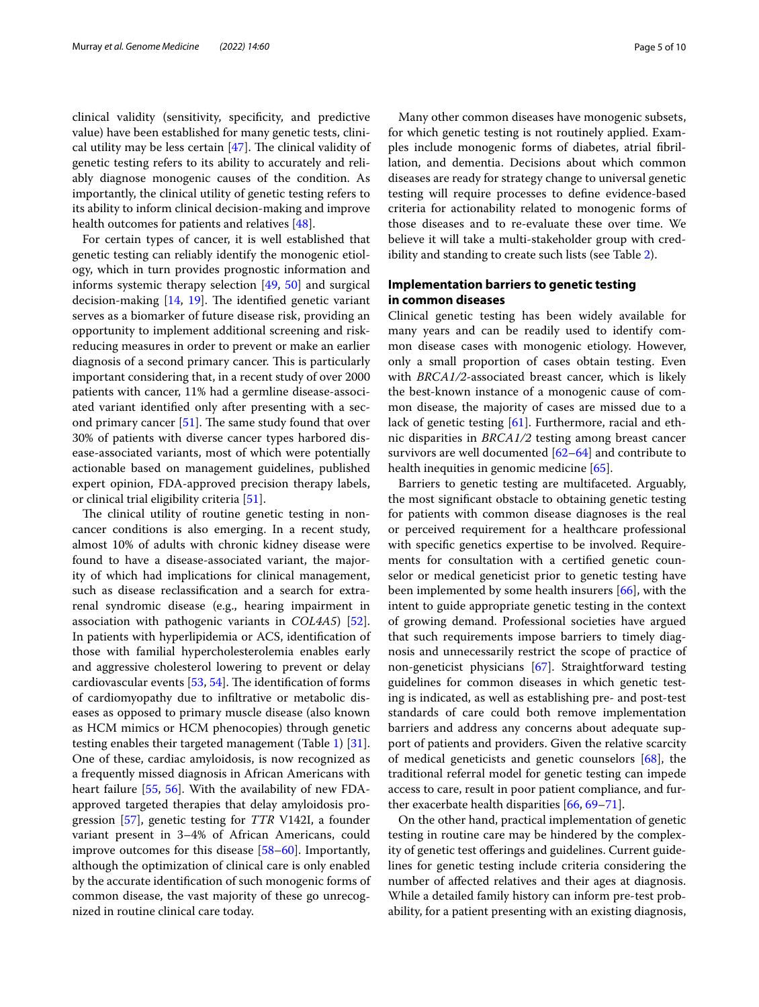clinical validity (sensitivity, specifcity, and predictive value) have been established for many genetic tests, clinical utility may be less certain  $[47]$  $[47]$ . The clinical validity of genetic testing refers to its ability to accurately and reliably diagnose monogenic causes of the condition. As importantly, the clinical utility of genetic testing refers to its ability to inform clinical decision-making and improve health outcomes for patients and relatives [\[48](#page-8-12)].

For certain types of cancer, it is well established that genetic testing can reliably identify the monogenic etiology, which in turn provides prognostic information and informs systemic therapy selection [\[49,](#page-8-13) [50\]](#page-8-14) and surgical decision-making  $[14, 19]$  $[14, 19]$  $[14, 19]$  $[14, 19]$ . The identified genetic variant serves as a biomarker of future disease risk, providing an opportunity to implement additional screening and riskreducing measures in order to prevent or make an earlier diagnosis of a second primary cancer. This is particularly important considering that, in a recent study of over 2000 patients with cancer, 11% had a germline disease-associated variant identifed only after presenting with a second primary cancer  $[51]$  $[51]$ . The same study found that over 30% of patients with diverse cancer types harbored disease-associated variants, most of which were potentially actionable based on management guidelines, published expert opinion, FDA-approved precision therapy labels, or clinical trial eligibility criteria [[51](#page-8-15)].

The clinical utility of routine genetic testing in noncancer conditions is also emerging. In a recent study, almost 10% of adults with chronic kidney disease were found to have a disease-associated variant, the majority of which had implications for clinical management, such as disease reclassifcation and a search for extrarenal syndromic disease (e.g., hearing impairment in association with pathogenic variants in *COL4A5*) [\[52](#page-8-16)]. In patients with hyperlipidemia or ACS, identifcation of those with familial hypercholesterolemia enables early and aggressive cholesterol lowering to prevent or delay cardiovascular events  $[53, 54]$  $[53, 54]$  $[53, 54]$ . The identification of forms of cardiomyopathy due to infltrative or metabolic diseases as opposed to primary muscle disease (also known as HCM mimics or HCM phenocopies) through genetic testing enables their targeted management (Table [1](#page-2-0)) [\[31](#page-7-32)]. One of these, cardiac amyloidosis, is now recognized as a frequently missed diagnosis in African Americans with heart failure [\[55](#page-8-19), [56\]](#page-8-20). With the availability of new FDAapproved targeted therapies that delay amyloidosis progression [\[57](#page-8-21)], genetic testing for *TTR* V142I, a founder variant present in 3–4% of African Americans, could improve outcomes for this disease [\[58](#page-8-22)[–60\]](#page-8-23). Importantly, although the optimization of clinical care is only enabled by the accurate identifcation of such monogenic forms of common disease, the vast majority of these go unrecognized in routine clinical care today.

Many other common diseases have monogenic subsets, for which genetic testing is not routinely applied. Examples include monogenic forms of diabetes, atrial fbrillation, and dementia. Decisions about which common diseases are ready for strategy change to universal genetic testing will require processes to defne evidence-based criteria for actionability related to monogenic forms of those diseases and to re-evaluate these over time. We believe it will take a multi-stakeholder group with credibility and standing to create such lists (see Table [2](#page-3-0)).

## **Implementation barriers to genetic testing in common diseases**

Clinical genetic testing has been widely available for many years and can be readily used to identify common disease cases with monogenic etiology. However, only a small proportion of cases obtain testing. Even with *BRCA1/2*-associated breast cancer, which is likely the best-known instance of a monogenic cause of common disease, the majority of cases are missed due to a lack of genetic testing [[61\]](#page-8-24). Furthermore, racial and ethnic disparities in *BRCA1/2* testing among breast cancer survivors are well documented [\[62–](#page-8-25)[64\]](#page-8-26) and contribute to health inequities in genomic medicine [[65\]](#page-8-27).

Barriers to genetic testing are multifaceted. Arguably, the most signifcant obstacle to obtaining genetic testing for patients with common disease diagnoses is the real or perceived requirement for a healthcare professional with specifc genetics expertise to be involved. Requirements for consultation with a certifed genetic counselor or medical geneticist prior to genetic testing have been implemented by some health insurers [[66\]](#page-8-28), with the intent to guide appropriate genetic testing in the context of growing demand. Professional societies have argued that such requirements impose barriers to timely diagnosis and unnecessarily restrict the scope of practice of non-geneticist physicians [\[67\]](#page-8-29). Straightforward testing guidelines for common diseases in which genetic testing is indicated, as well as establishing pre- and post-test standards of care could both remove implementation barriers and address any concerns about adequate support of patients and providers. Given the relative scarcity of medical geneticists and genetic counselors [[68\]](#page-8-30), the traditional referral model for genetic testing can impede access to care, result in poor patient compliance, and further exacerbate health disparities [\[66,](#page-8-28) [69](#page-8-31)[–71](#page-8-32)].

On the other hand, practical implementation of genetic testing in routine care may be hindered by the complexity of genetic test offerings and guidelines. Current guidelines for genetic testing include criteria considering the number of afected relatives and their ages at diagnosis. While a detailed family history can inform pre-test probability, for a patient presenting with an existing diagnosis,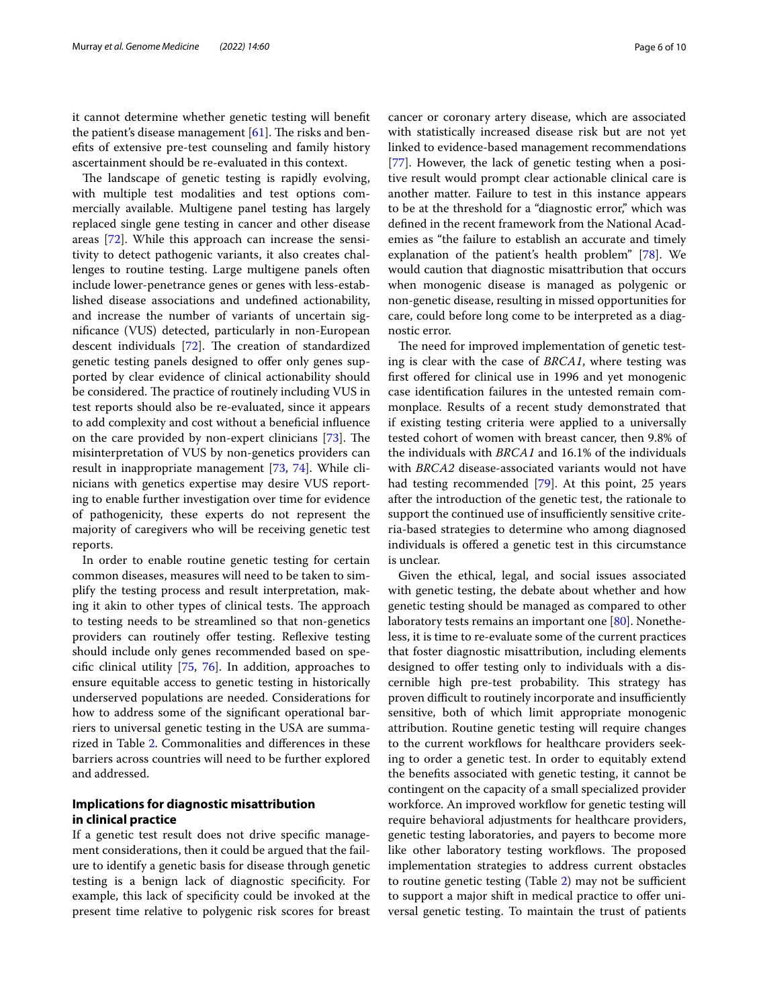it cannot determine whether genetic testing will beneft the patient's disease management  $[61]$  $[61]$ . The risks and benefts of extensive pre-test counseling and family history ascertainment should be re-evaluated in this context.

The landscape of genetic testing is rapidly evolving, with multiple test modalities and test options commercially available. Multigene panel testing has largely replaced single gene testing in cancer and other disease areas [[72\]](#page-8-33). While this approach can increase the sensitivity to detect pathogenic variants, it also creates challenges to routine testing. Large multigene panels often include lower-penetrance genes or genes with less-established disease associations and undefned actionability, and increase the number of variants of uncertain signifcance (VUS) detected, particularly in non-European descent individuals [[72\]](#page-8-33). The creation of standardized genetic testing panels designed to offer only genes supported by clear evidence of clinical actionability should be considered. The practice of routinely including VUS in test reports should also be re-evaluated, since it appears to add complexity and cost without a benefcial infuence on the care provided by non-expert clinicians  $[73]$  $[73]$ . The misinterpretation of VUS by non-genetics providers can result in inappropriate management [\[73](#page-8-34), [74\]](#page-8-35). While clinicians with genetics expertise may desire VUS reporting to enable further investigation over time for evidence of pathogenicity, these experts do not represent the majority of caregivers who will be receiving genetic test reports.

In order to enable routine genetic testing for certain common diseases, measures will need to be taken to simplify the testing process and result interpretation, making it akin to other types of clinical tests. The approach to testing needs to be streamlined so that non-genetics providers can routinely offer testing. Reflexive testing should include only genes recommended based on specifc clinical utility [[75](#page-8-36), [76\]](#page-8-37). In addition, approaches to ensure equitable access to genetic testing in historically underserved populations are needed. Considerations for how to address some of the signifcant operational barriers to universal genetic testing in the USA are summarized in Table [2.](#page-3-0) Commonalities and diferences in these barriers across countries will need to be further explored and addressed.

## **Implications for diagnostic misattribution in clinical practice**

If a genetic test result does not drive specifc management considerations, then it could be argued that the failure to identify a genetic basis for disease through genetic testing is a benign lack of diagnostic specifcity. For example, this lack of specifcity could be invoked at the present time relative to polygenic risk scores for breast cancer or coronary artery disease, which are associated with statistically increased disease risk but are not yet linked to evidence-based management recommendations [[77\]](#page-9-0). However, the lack of genetic testing when a positive result would prompt clear actionable clinical care is another matter. Failure to test in this instance appears to be at the threshold for a "diagnostic error," which was defned in the recent framework from the National Academies as "the failure to establish an accurate and timely explanation of the patient's health problem" [[78](#page-9-1)]. We would caution that diagnostic misattribution that occurs when monogenic disease is managed as polygenic or non-genetic disease, resulting in missed opportunities for care, could before long come to be interpreted as a diagnostic error.

The need for improved implementation of genetic testing is clear with the case of *BRCA1*, where testing was frst ofered for clinical use in 1996 and yet monogenic case identifcation failures in the untested remain commonplace. Results of a recent study demonstrated that if existing testing criteria were applied to a universally tested cohort of women with breast cancer, then 9.8% of the individuals with *BRCA1* and 16.1% of the individuals with *BRCA2* disease-associated variants would not have had testing recommended [\[79](#page-9-2)]. At this point, 25 years after the introduction of the genetic test, the rationale to support the continued use of insufficiently sensitive criteria-based strategies to determine who among diagnosed individuals is ofered a genetic test in this circumstance is unclear.

Given the ethical, legal, and social issues associated with genetic testing, the debate about whether and how genetic testing should be managed as compared to other laboratory tests remains an important one [[80\]](#page-9-3). Nonetheless, it is time to re-evaluate some of the current practices that foster diagnostic misattribution, including elements designed to offer testing only to individuals with a discernible high pre-test probability. This strategy has proven difficult to routinely incorporate and insufficiently sensitive, both of which limit appropriate monogenic attribution. Routine genetic testing will require changes to the current workflows for healthcare providers seeking to order a genetic test. In order to equitably extend the benefts associated with genetic testing, it cannot be contingent on the capacity of a small specialized provider workforce. An improved workflow for genetic testing will require behavioral adjustments for healthcare providers, genetic testing laboratories, and payers to become more like other laboratory testing workflows. The proposed implementation strategies to address current obstacles to routine genetic testing (Table  $2$ ) may not be sufficient to support a major shift in medical practice to offer universal genetic testing. To maintain the trust of patients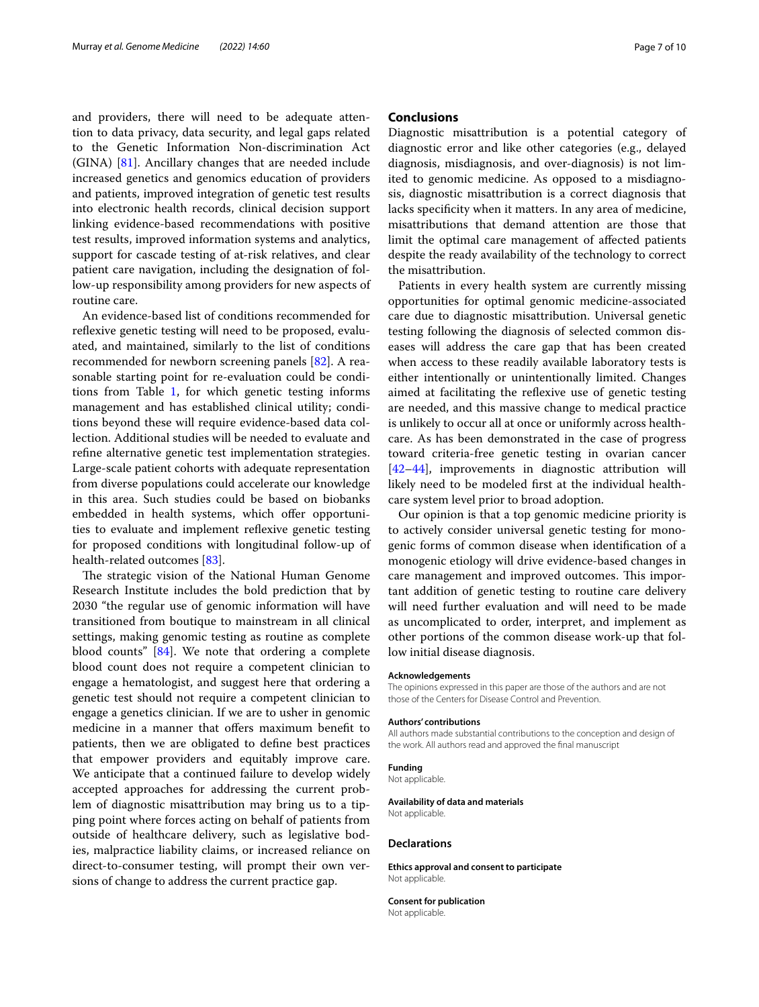and providers, there will need to be adequate attention to data privacy, data security, and legal gaps related to the Genetic Information Non-discrimination Act (GINA) [[81\]](#page-9-4). Ancillary changes that are needed include increased genetics and genomics education of providers and patients, improved integration of genetic test results into electronic health records, clinical decision support linking evidence-based recommendations with positive test results, improved information systems and analytics, support for cascade testing of at-risk relatives, and clear patient care navigation, including the designation of follow-up responsibility among providers for new aspects of routine care.

An evidence-based list of conditions recommended for reflexive genetic testing will need to be proposed, evaluated, and maintained, similarly to the list of conditions recommended for newborn screening panels [[82](#page-9-5)]. A reasonable starting point for re-evaluation could be conditions from Table [1,](#page-2-0) for which genetic testing informs management and has established clinical utility; conditions beyond these will require evidence-based data collection. Additional studies will be needed to evaluate and refne alternative genetic test implementation strategies. Large-scale patient cohorts with adequate representation from diverse populations could accelerate our knowledge in this area. Such studies could be based on biobanks embedded in health systems, which offer opportunities to evaluate and implement refexive genetic testing for proposed conditions with longitudinal follow-up of health-related outcomes [\[83](#page-9-6)].

The strategic vision of the National Human Genome Research Institute includes the bold prediction that by 2030 "the regular use of genomic information will have transitioned from boutique to mainstream in all clinical settings, making genomic testing as routine as complete blood counts" [\[84](#page-9-7)]. We note that ordering a complete blood count does not require a competent clinician to engage a hematologist, and suggest here that ordering a genetic test should not require a competent clinician to engage a genetics clinician. If we are to usher in genomic medicine in a manner that offers maximum benefit to patients, then we are obligated to defne best practices that empower providers and equitably improve care. We anticipate that a continued failure to develop widely accepted approaches for addressing the current problem of diagnostic misattribution may bring us to a tipping point where forces acting on behalf of patients from outside of healthcare delivery, such as legislative bodies, malpractice liability claims, or increased reliance on direct-to-consumer testing, will prompt their own versions of change to address the current practice gap.

### **Conclusions**

Diagnostic misattribution is a potential category of diagnostic error and like other categories (e.g., delayed diagnosis, misdiagnosis, and over-diagnosis) is not limited to genomic medicine. As opposed to a misdiagnosis, diagnostic misattribution is a correct diagnosis that lacks specifcity when it matters. In any area of medicine, misattributions that demand attention are those that limit the optimal care management of afected patients despite the ready availability of the technology to correct the misattribution.

Patients in every health system are currently missing opportunities for optimal genomic medicine-associated care due to diagnostic misattribution. Universal genetic testing following the diagnosis of selected common diseases will address the care gap that has been created when access to these readily available laboratory tests is either intentionally or unintentionally limited. Changes aimed at facilitating the refexive use of genetic testing are needed, and this massive change to medical practice is unlikely to occur all at once or uniformly across healthcare. As has been demonstrated in the case of progress toward criteria-free genetic testing in ovarian cancer [[42–](#page-8-7)[44\]](#page-8-8), improvements in diagnostic attribution will likely need to be modeled frst at the individual healthcare system level prior to broad adoption.

Our opinion is that a top genomic medicine priority is to actively consider universal genetic testing for monogenic forms of common disease when identifcation of a monogenic etiology will drive evidence-based changes in care management and improved outcomes. This important addition of genetic testing to routine care delivery will need further evaluation and will need to be made as uncomplicated to order, interpret, and implement as other portions of the common disease work-up that follow initial disease diagnosis.

#### **Acknowledgements**

The opinions expressed in this paper are those of the authors and are not those of the Centers for Disease Control and Prevention.

#### **Authors' contributions**

All authors made substantial contributions to the conception and design of the work. All authors read and approved the fnal manuscript

#### **Funding**

Not applicable.

#### **Availability of data and materials** Not applicable.

#### **Declarations**

**Ethics approval and consent to participate** Not applicable.

**Consent for publication** Not applicable.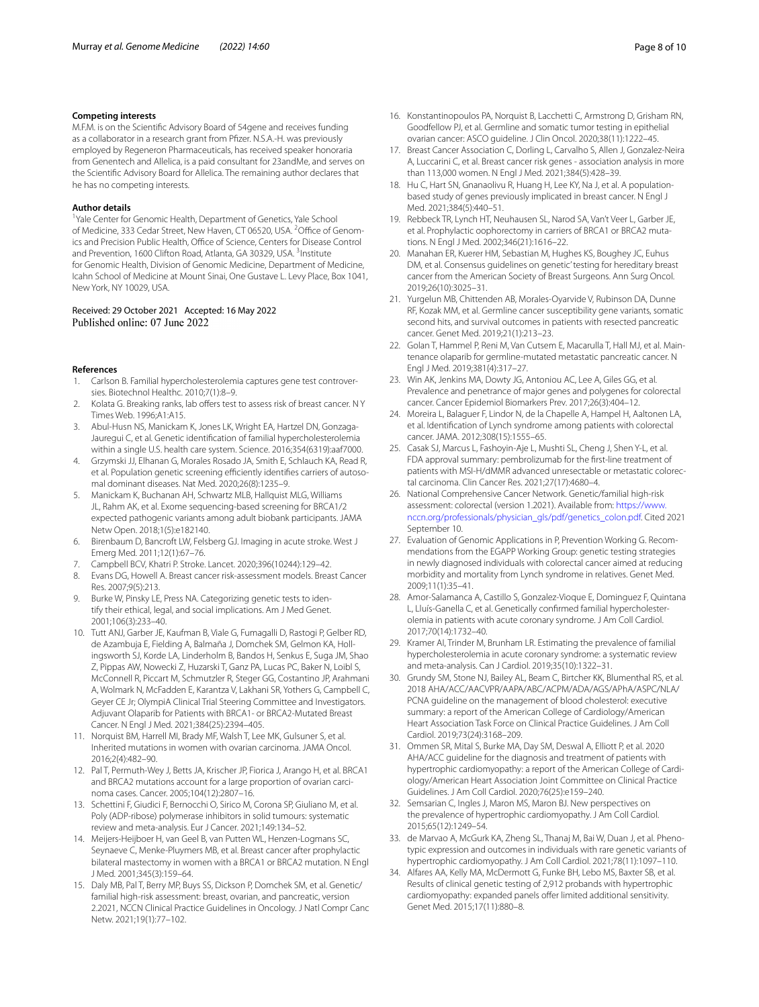#### **Competing interests**

M.F.M. is on the Scientifc Advisory Board of 54gene and receives funding as a collaborator in a research grant from Pfizer. N.S.A.-H. was previously employed by Regeneron Pharmaceuticals, has received speaker honoraria from Genentech and Allelica, is a paid consultant for 23andMe, and serves on the Scientifc Advisory Board for Allelica. The remaining author declares that he has no competing interests.

#### **Author details**

<sup>1</sup> Yale Center for Genomic Health, Department of Genetics, Yale School of Medicine, 333 Cedar Street, New Haven, CT 06520, USA. <sup>2</sup>Office of Genomics and Precision Public Health, Office of Science, Centers for Disease Control and Prevention, 1600 Clifton Road, Atlanta, GA 30329, USA.<sup>3</sup> Institute for Genomic Health, Division of Genomic Medicine, Department of Medicine, Icahn School of Medicine at Mount Sinai, One Gustave L. Levy Place, Box 1041, New York, NY 10029, USA.

## Received: 29 October 2021 Accepted: 16 May 2022

#### **References**

- <span id="page-7-0"></span>1. Carlson B. Familial hypercholesterolemia captures gene test controversies. Biotechnol Healthc. 2010;7(1):8–9.
- <span id="page-7-1"></span>2. Kolata G. Breaking ranks, lab offers test to assess risk of breast cancer. NY Times Web. 1996;A1:A15.
- <span id="page-7-2"></span>3. Abul-Husn NS, Manickam K, Jones LK, Wright EA, Hartzel DN, Gonzaga-Jauregui C, et al. Genetic identifcation of familial hypercholesterolemia within a single U.S. health care system. Science. 2016;354(6319):aaf7000.
- <span id="page-7-9"></span>4. Grzymski JJ, Elhanan G, Morales Rosado JA, Smith E, Schlauch KA, Read R, et al. Population genetic screening efficiently identifies carriers of autosomal dominant diseases. Nat Med. 2020;26(8):1235–9.
- <span id="page-7-3"></span>5. Manickam K, Buchanan AH, Schwartz MLB, Hallquist MLG, Williams JL, Rahm AK, et al. Exome sequencing-based screening for BRCA1/2 expected pathogenic variants among adult biobank participants. JAMA Netw Open. 2018;1(5):e182140.
- <span id="page-7-4"></span>6. Birenbaum D, Bancroft LW, Felsberg GJ. Imaging in acute stroke. West J Emerg Med. 2011;12(1):67–76.
- <span id="page-7-5"></span>7. Campbell BCV, Khatri P. Stroke. Lancet. 2020;396(10244):129–42.
- <span id="page-7-6"></span>8. Evans DG, Howell A. Breast cancer risk-assessment models. Breast Cancer Res. 2007;9(5):213.
- <span id="page-7-7"></span>Burke W, Pinsky LE, Press NA. Categorizing genetic tests to identify their ethical, legal, and social implications. Am J Med Genet. 2001;106(3):233–40.
- <span id="page-7-8"></span>10. Tutt ANJ, Garber JE, Kaufman B, Viale G, Fumagalli D, Rastogi P, Gelber RD, de Azambuja E, Fielding A, Balmaña J, Domchek SM, Gelmon KA, Hollingsworth SJ, Korde LA, Linderholm B, Bandos H, Senkus E, Suga JM, Shao Z, Pippas AW, Nowecki Z, Huzarski T, Ganz PA, Lucas PC, Baker N, Loibl S, McConnell R, Piccart M, Schmutzler R, Steger GG, Costantino JP, Arahmani A, Wolmark N, McFadden E, Karantza V, Lakhani SR, Yothers G, Campbell C, Geyer CE Jr; OlympiA Clinical Trial Steering Committee and Investigators. Adjuvant Olaparib for Patients with BRCA1- or BRCA2-Mutated Breast Cancer. N Engl J Med. 2021;384(25):2394–405.
- <span id="page-7-15"></span>11. Norquist BM, Harrell MI, Brady MF, Walsh T, Lee MK, Gulsuner S, et al. Inherited mutations in women with ovarian carcinoma. JAMA Oncol. 2016;2(4):482–90.
- <span id="page-7-16"></span>12. Pal T, Permuth-Wey J, Betts JA, Krischer JP, Fiorica J, Arango H, et al. BRCA1 and BRCA2 mutations account for a large proportion of ovarian carcinoma cases. Cancer. 2005;104(12):2807–16.
- <span id="page-7-18"></span>13. Schettini F, Giudici F, Bernocchi O, Sirico M, Corona SP, Giuliano M, et al. Poly (ADP-ribose) polymerase inhibitors in solid tumours: systematic review and meta-analysis. Eur J Cancer. 2021;149:134–52.
- <span id="page-7-19"></span>14. Meijers-Heijboer H, van Geel B, van Putten WL, Henzen-Logmans SC, Seynaeve C, Menke-Pluymers MB, et al. Breast cancer after prophylactic bilateral mastectomy in women with a BRCA1 or BRCA2 mutation. N Engl J Med. 2001;345(3):159–64.
- <span id="page-7-20"></span>15. Daly MB, Pal T, Berry MP, Buys SS, Dickson P, Domchek SM, et al. Genetic/ familial high-risk assessment: breast, ovarian, and pancreatic, version 2.2021, NCCN Clinical Practice Guidelines in Oncology. J Natl Compr Canc Netw. 2021;19(1):77–102.
- <span id="page-7-21"></span>16. Konstantinopoulos PA, Norquist B, Lacchetti C, Armstrong D, Grisham RN, Goodfellow PJ, et al. Germline and somatic tumor testing in epithelial ovarian cancer: ASCO guideline. J Clin Oncol. 2020;38(11):1222–45.
- <span id="page-7-22"></span>17. Breast Cancer Association C, Dorling L, Carvalho S, Allen J, Gonzalez-Neira A, Luccarini C, et al. Breast cancer risk genes - association analysis in more than 113,000 women. N Engl J Med. 2021;384(5):428–39.
- <span id="page-7-23"></span>18. Hu C, Hart SN, Gnanaolivu R, Huang H, Lee KY, Na J, et al. A populationbased study of genes previously implicated in breast cancer. N Engl J Med. 2021;384(5):440–51.
- <span id="page-7-24"></span>19. Rebbeck TR, Lynch HT, Neuhausen SL, Narod SA, Van't Veer L, Garber JE, et al. Prophylactic oophorectomy in carriers of BRCA1 or BRCA2 mutations. N Engl J Med. 2002;346(21):1616–22.
- <span id="page-7-25"></span>20. Manahan ER, Kuerer HM, Sebastian M, Hughes KS, Boughey JC, Euhus DM, et al. Consensus guidelines on genetic' testing for hereditary breast cancer from the American Society of Breast Surgeons. Ann Surg Oncol. 2019;26(10):3025–31.
- <span id="page-7-26"></span>21. Yurgelun MB, Chittenden AB, Morales-Oyarvide V, Rubinson DA, Dunne RF, Kozak MM, et al. Germline cancer susceptibility gene variants, somatic second hits, and survival outcomes in patients with resected pancreatic cancer. Genet Med. 2019;21(1):213–23.
- <span id="page-7-27"></span>22. Golan T, Hammel P, Reni M, Van Cutsem E, Macarulla T, Hall MJ, et al. Maintenance olaparib for germline-mutated metastatic pancreatic cancer. N Engl J Med. 2019;381(4):317–27.
- <span id="page-7-28"></span>23. Win AK, Jenkins MA, Dowty JG, Antoniou AC, Lee A, Giles GG, et al. Prevalence and penetrance of major genes and polygenes for colorectal cancer. Cancer Epidemiol Biomarkers Prev. 2017;26(3):404–12.
- <span id="page-7-14"></span>24. Moreira L, Balaguer F, Lindor N, de la Chapelle A, Hampel H, Aaltonen LA, et al. Identifcation of Lynch syndrome among patients with colorectal cancer. JAMA. 2012;308(15):1555–65.
- <span id="page-7-17"></span>25. Casak SJ, Marcus L, Fashoyin-Aje L, Mushti SL, Cheng J, Shen Y-L, et al. FDA approval summary: pembrolizumab for the frst-line treatment of patients with MSI-H/dMMR advanced unresectable or metastatic colorectal carcinoma. Clin Cancer Res. 2021;27(17):4680–4.
- <span id="page-7-29"></span>26. National Comprehensive Cancer Network. Genetic/familial high-risk assessment: colorectal (version 1.2021). Available from: [https://www.](https://www.nccn.org/professionals/physician_gls/pdf/genetics_colon.pdf) [nccn.org/professionals/physician\\_gls/pdf/genetics\\_colon.pdf](https://www.nccn.org/professionals/physician_gls/pdf/genetics_colon.pdf). Cited 2021 September 10.
- <span id="page-7-30"></span>27. Evaluation of Genomic Applications in P, Prevention Working G. Recommendations from the EGAPP Working Group: genetic testing strategies in newly diagnosed individuals with colorectal cancer aimed at reducing morbidity and mortality from Lynch syndrome in relatives. Genet Med. 2009;11(1):35–41.
- <span id="page-7-10"></span>28. Amor-Salamanca A, Castillo S, Gonzalez-Vioque E, Dominguez F, Quintana L, Lluís-Ganella C, et al. Genetically confirmed familial hypercholesterolemia in patients with acute coronary syndrome. J Am Coll Cardiol. 2017;70(14):1732–40.
- <span id="page-7-11"></span>29. Kramer AI, Trinder M, Brunham LR. Estimating the prevalence of familial hypercholesterolemia in acute coronary syndrome: a systematic review and meta-analysis. Can J Cardiol. 2019;35(10):1322–31.
- <span id="page-7-31"></span>30. Grundy SM, Stone NJ, Bailey AL, Beam C, Birtcher KK, Blumenthal RS, et al. 2018 AHA/ACC/AACVPR/AAPA/ABC/ACPM/ADA/AGS/APhA/ASPC/NLA/ PCNA guideline on the management of blood cholesterol: executive summary: a report of the American College of Cardiology/American Heart Association Task Force on Clinical Practice Guidelines. J Am Coll Cardiol. 2019;73(24):3168–209.
- <span id="page-7-32"></span>31. Ommen SR, Mital S, Burke MA, Day SM, Deswal A, Elliott P, et al. 2020 AHA/ACC guideline for the diagnosis and treatment of patients with hypertrophic cardiomyopathy: a report of the American College of Cardiology/American Heart Association Joint Committee on Clinical Practice Guidelines. J Am Coll Cardiol. 2020;76(25):e159–240.
- <span id="page-7-12"></span>32. Semsarian C, Ingles J, Maron MS, Maron BJ. New perspectives on the prevalence of hypertrophic cardiomyopathy. J Am Coll Cardiol. 2015;65(12):1249–54.
- <span id="page-7-33"></span>33. de Marvao A, McGurk KA, Zheng SL, Thanaj M, Bai W, Duan J, et al. Phenotypic expression and outcomes in individuals with rare genetic variants of hypertrophic cardiomyopathy. J Am Coll Cardiol. 2021;78(11):1097–110.
- <span id="page-7-13"></span>34. Alfares AA, Kelly MA, McDermott G, Funke BH, Lebo MS, Baxter SB, et al. Results of clinical genetic testing of 2,912 probands with hypertrophic cardiomyopathy: expanded panels offer limited additional sensitivity. Genet Med. 2015;17(11):880–8.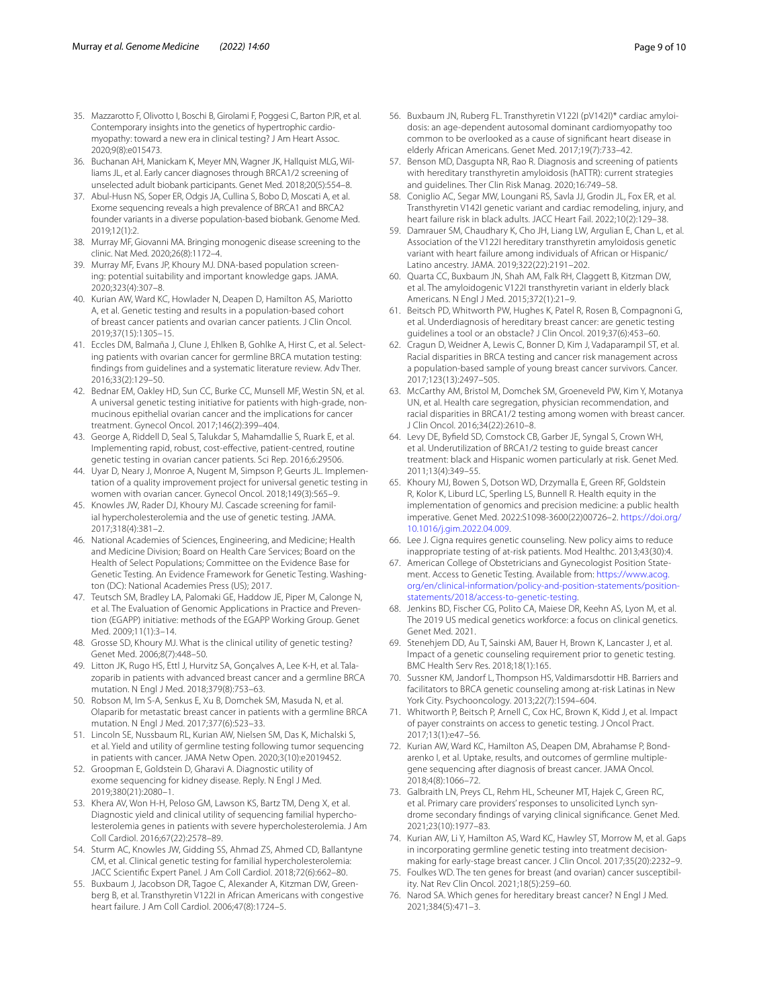- <span id="page-8-4"></span>35. Mazzarotto F, Olivotto I, Boschi B, Girolami F, Poggesi C, Barton PJR, et al. Contemporary insights into the genetics of hypertrophic cardiomyopathy: toward a new era in clinical testing? J Am Heart Assoc. 2020;9(8):e015473.
- <span id="page-8-0"></span>36. Buchanan AH, Manickam K, Meyer MN, Wagner JK, Hallquist MLG, Williams JL, et al. Early cancer diagnoses through BRCA1/2 screening of unselected adult biobank participants. Genet Med. 2018;20(5):554–8.
- <span id="page-8-1"></span>37. Abul-Husn NS, Soper ER, Odgis JA, Cullina S, Bobo D, Moscati A, et al. Exome sequencing reveals a high prevalence of BRCA1 and BRCA2 founder variants in a diverse population-based biobank. Genome Med. 2019;12(1):2.
- <span id="page-8-2"></span>38. Murray MF, Giovanni MA. Bringing monogenic disease screening to the clinic. Nat Med. 2020;26(8):1172–4.
- <span id="page-8-3"></span>39. Murray MF, Evans JP, Khoury MJ. DNA-based population screening: potential suitability and important knowledge gaps. JAMA. 2020;323(4):307–8.
- <span id="page-8-5"></span>40. Kurian AW, Ward KC, Howlader N, Deapen D, Hamilton AS, Mariotto A, et al. Genetic testing and results in a population-based cohort of breast cancer patients and ovarian cancer patients. J Clin Oncol. 2019;37(15):1305–15.
- <span id="page-8-6"></span>41. Eccles DM, Balmaña J, Clune J, Ehlken B, Gohlke A, Hirst C, et al. Selecting patients with ovarian cancer for germline BRCA mutation testing: fndings from guidelines and a systematic literature review. Adv Ther. 2016;33(2):129–50.
- <span id="page-8-7"></span>42. Bednar EM, Oakley HD, Sun CC, Burke CC, Munsell MF, Westin SN, et al. A universal genetic testing initiative for patients with high-grade, nonmucinous epithelial ovarian cancer and the implications for cancer treatment. Gynecol Oncol. 2017;146(2):399–404.
- 43. George A, Riddell D, Seal S, Talukdar S, Mahamdallie S, Ruark E, et al. Implementing rapid, robust, cost-efective, patient-centred, routine genetic testing in ovarian cancer patients. Sci Rep. 2016;6:29506.
- <span id="page-8-8"></span>44. Uyar D, Neary J, Monroe A, Nugent M, Simpson P, Geurts JL. Implementation of a quality improvement project for universal genetic testing in women with ovarian cancer. Gynecol Oncol. 2018;149(3):565–9.
- <span id="page-8-9"></span>45. Knowles JW, Rader DJ, Khoury MJ. Cascade screening for familial hypercholesterolemia and the use of genetic testing. JAMA. 2017;318(4):381–2.
- <span id="page-8-10"></span>46. National Academies of Sciences, Engineering, and Medicine; Health and Medicine Division; Board on Health Care Services; Board on the Health of Select Populations; Committee on the Evidence Base for Genetic Testing. An Evidence Framework for Genetic Testing. Washington (DC): National Academies Press (US); 2017.
- <span id="page-8-11"></span>47. Teutsch SM, Bradley LA, Palomaki GE, Haddow JE, Piper M, Calonge N, et al. The Evaluation of Genomic Applications in Practice and Prevention (EGAPP) initiative: methods of the EGAPP Working Group. Genet Med. 2009;11(1):3–14.
- <span id="page-8-12"></span>48. Grosse SD, Khoury MJ. What is the clinical utility of genetic testing? Genet Med. 2006;8(7):448–50.
- <span id="page-8-13"></span>49. Litton JK, Rugo HS, Ettl J, Hurvitz SA, Gonçalves A, Lee K-H, et al. Talazoparib in patients with advanced breast cancer and a germline BRCA mutation. N Engl J Med. 2018;379(8):753–63.
- <span id="page-8-14"></span>50. Robson M, Im S-A, Senkus E, Xu B, Domchek SM, Masuda N, et al. Olaparib for metastatic breast cancer in patients with a germline BRCA mutation. N Engl J Med. 2017;377(6):523–33.
- <span id="page-8-15"></span>51. Lincoln SE, Nussbaum RL, Kurian AW, Nielsen SM, Das K, Michalski S, et al. Yield and utility of germline testing following tumor sequencing in patients with cancer. JAMA Netw Open. 2020;3(10):e2019452.
- <span id="page-8-16"></span>52. Groopman E, Goldstein D, Gharavi A. Diagnostic utility of exome sequencing for kidney disease. Reply. N Engl J Med. 2019;380(21):2080–1.
- <span id="page-8-17"></span>53. Khera AV, Won H-H, Peloso GM, Lawson KS, Bartz TM, Deng X, et al. Diagnostic yield and clinical utility of sequencing familial hypercholesterolemia genes in patients with severe hypercholesterolemia. J Am Coll Cardiol. 2016;67(22):2578–89.
- <span id="page-8-18"></span>54. Sturm AC, Knowles JW, Gidding SS, Ahmad ZS, Ahmed CD, Ballantyne CM, et al. Clinical genetic testing for familial hypercholesterolemia: JACC Scientifc Expert Panel. J Am Coll Cardiol. 2018;72(6):662–80.
- <span id="page-8-19"></span>55. Buxbaum J, Jacobson DR, Tagoe C, Alexander A, Kitzman DW, Greenberg B, et al. Transthyretin V122I in African Americans with congestive heart failure. J Am Coll Cardiol. 2006;47(8):1724–5.
- <span id="page-8-20"></span>56. Buxbaum JN, Ruberg FL. Transthyretin V122I (pV142I)\* cardiac amyloidosis: an age-dependent autosomal dominant cardiomyopathy too common to be overlooked as a cause of signifcant heart disease in elderly African Americans. Genet Med. 2017;19(7):733–42.
- <span id="page-8-21"></span>57. Benson MD, Dasgupta NR, Rao R. Diagnosis and screening of patients with hereditary transthyretin amyloidosis (hATTR): current strategies and guidelines. Ther Clin Risk Manag. 2020;16:749–58.
- <span id="page-8-22"></span>58. Coniglio AC, Segar MW, Loungani RS, Savla JJ, Grodin JL, Fox ER, et al. Transthyretin V142I genetic variant and cardiac remodeling, injury, and heart failure risk in black adults. JACC Heart Fail. 2022;10(2):129–38.
- 59. Damrauer SM, Chaudhary K, Cho JH, Liang LW, Argulian E, Chan L, et al. Association of the V122I hereditary transthyretin amyloidosis genetic variant with heart failure among individuals of African or Hispanic/ Latino ancestry. JAMA. 2019;322(22):2191–202.
- <span id="page-8-23"></span>60. Quarta CC, Buxbaum JN, Shah AM, Falk RH, Claggett B, Kitzman DW, et al. The amyloidogenic V122I transthyretin variant in elderly black Americans. N Engl J Med. 2015;372(1):21–9.
- <span id="page-8-24"></span>61. Beitsch PD, Whitworth PW, Hughes K, Patel R, Rosen B, Compagnoni G, et al. Underdiagnosis of hereditary breast cancer: are genetic testing guidelines a tool or an obstacle? J Clin Oncol. 2019;37(6):453–60.
- <span id="page-8-25"></span>62. Cragun D, Weidner A, Lewis C, Bonner D, Kim J, Vadaparampil ST, et al. Racial disparities in BRCA testing and cancer risk management across a population-based sample of young breast cancer survivors. Cancer. 2017;123(13):2497–505.
- 63. McCarthy AM, Bristol M, Domchek SM, Groeneveld PW, Kim Y, Motanya UN, et al. Health care segregation, physician recommendation, and racial disparities in BRCA1/2 testing among women with breast cancer. J Clin Oncol. 2016;34(22):2610–8.
- <span id="page-8-26"></span>64. Levy DE, Byfeld SD, Comstock CB, Garber JE, Syngal S, Crown WH, et al. Underutilization of BRCA1/2 testing to guide breast cancer treatment: black and Hispanic women particularly at risk. Genet Med. 2011;13(4):349–55.
- <span id="page-8-27"></span>65. Khoury MJ, Bowen S, Dotson WD, Drzymalla E, Green RF, Goldstein R, Kolor K, Liburd LC, Sperling LS, Bunnell R. Health equity in the implementation of genomics and precision medicine: a public health imperative. Genet Med. 2022:S1098-3600(22)00726–2. [https://doi.org/](https://doi.org/10.1016/j.gim.2022.04.009) [10.1016/j.gim.2022.04.009.](https://doi.org/10.1016/j.gim.2022.04.009)
- <span id="page-8-28"></span>66. Lee J. Cigna requires genetic counseling. New policy aims to reduce inappropriate testing of at-risk patients. Mod Healthc. 2013;43(30):4.
- <span id="page-8-29"></span>67. American College of Obstetricians and Gynecologist Position Statement. Access to Genetic Testing. Available from: [https://www.acog.](https://www.acog.org/en/clinical-information/policy-and-position-statements/position-statements/2018/access-to-genetic-testing) [org/en/clinical-information/policy-and-position-statements/position](https://www.acog.org/en/clinical-information/policy-and-position-statements/position-statements/2018/access-to-genetic-testing) [statements/2018/access-to-genetic-testing](https://www.acog.org/en/clinical-information/policy-and-position-statements/position-statements/2018/access-to-genetic-testing).
- <span id="page-8-30"></span>68. Jenkins BD, Fischer CG, Polito CA, Maiese DR, Keehn AS, Lyon M, et al. The 2019 US medical genetics workforce: a focus on clinical genetics. Genet Med. 2021.
- <span id="page-8-31"></span>69. Stenehjem DD, Au T, Sainski AM, Bauer H, Brown K, Lancaster J, et al. Impact of a genetic counseling requirement prior to genetic testing. BMC Health Serv Res. 2018;18(1):165.
- 70. Sussner KM, Jandorf L, Thompson HS, Valdimarsdottir HB. Barriers and facilitators to BRCA genetic counseling among at-risk Latinas in New York City. Psychooncology. 2013;22(7):1594–604.
- <span id="page-8-32"></span>71. Whitworth P, Beitsch P, Arnell C, Cox HC, Brown K, Kidd J, et al. Impact of payer constraints on access to genetic testing. J Oncol Pract. 2017;13(1):e47–56.
- <span id="page-8-33"></span>72. Kurian AW, Ward KC, Hamilton AS, Deapen DM, Abrahamse P, Bondarenko I, et al. Uptake, results, and outcomes of germline multiplegene sequencing after diagnosis of breast cancer. JAMA Oncol. 2018;4(8):1066–72.
- <span id="page-8-34"></span>73. Galbraith LN, Preys CL, Rehm HL, Scheuner MT, Hajek C, Green RC, et al. Primary care providers' responses to unsolicited Lynch syndrome secondary fndings of varying clinical signifcance. Genet Med. 2021;23(10):1977–83.
- <span id="page-8-35"></span>74. Kurian AW, Li Y, Hamilton AS, Ward KC, Hawley ST, Morrow M, et al. Gaps in incorporating germline genetic testing into treatment decisionmaking for early-stage breast cancer. J Clin Oncol. 2017;35(20):2232–9.
- <span id="page-8-36"></span>75. Foulkes WD. The ten genes for breast (and ovarian) cancer susceptibility. Nat Rev Clin Oncol. 2021;18(5):259–60.
- <span id="page-8-37"></span>76. Narod SA. Which genes for hereditary breast cancer? N Engl J Med. 2021;384(5):471–3.